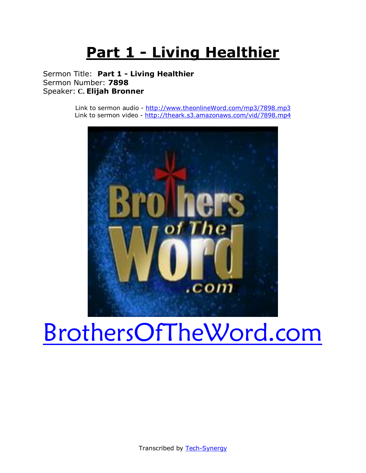# **Part 1 - Living Healthier**

Sermon Title: **Part 1 - Living Healthier** Sermon Number: **7898** Speaker: **C. Elijah Bronner**

> Link to sermon audio - [http://www.theonlineWord.com/mp3/7898.mp3](http://www.theonlineword.com/mp3/7898.mp3) Link to sermon video - <http://theark.s3.amazonaws.com/vid/7898.mp4>



# [BrothersOfTheWord.com](http://www.brothersoftheword.com/)

Transcribed by [Tech-Synergy](http://www.tech-synergy.com/)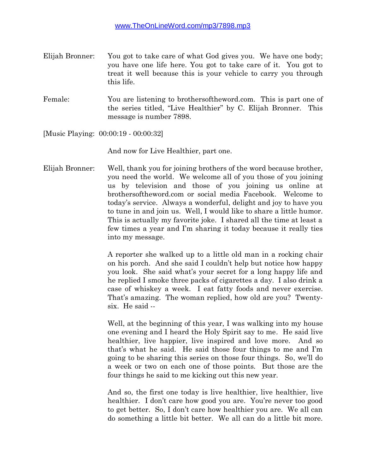- Elijah Bronner: You got to take care of what God gives you. We have one body; you have one life here. You got to take care of it. You got to treat it well because this is your vehicle to carry you through this life.
- Female: You are listening to brothersoftheword.com. This is part one of the series titled, "Live Healthier" by C. Elijah Bronner. This message is number 7898.

[Music Playing: 00:00:19 - 00:00:32]

And now for Live Healthier, part one.

Elijah Bronner: Well, thank you for joining brothers of the word because brother, you need the world. We welcome all of you those of you joining us by television and those of you joining us online at brothersoftheword.com or social media Facebook. Welcome to today's service. Always a wonderful, delight and joy to have you to tune in and join us. Well, I would like to share a little humor. This is actually my favorite joke. I shared all the time at least a few times a year and I'm sharing it today because it really ties into my message.

> A reporter she walked up to a little old man in a rocking chair on his porch. And she said I couldn't help but notice how happy you look. She said what's your secret for a long happy life and he replied I smoke three packs of cigarettes a day. I also drink a case of whiskey a week. I eat fatty foods and never exercise. That's amazing. The woman replied, how old are you? Twentysix. He said --

> Well, at the beginning of this year, I was walking into my house one evening and I heard the Holy Spirit say to me. He said live healthier, live happier, live inspired and love more. And so that's what he said. He said those four things to me and I'm going to be sharing this series on those four things. So, we'll do a week or two on each one of those points. But those are the four things he said to me kicking out this new year.

> And so, the first one today is live healthier, live healthier, live healthier. I don't care how good you are. You're never too good to get better. So, I don't care how healthier you are. We all can do something a little bit better. We all can do a little bit more.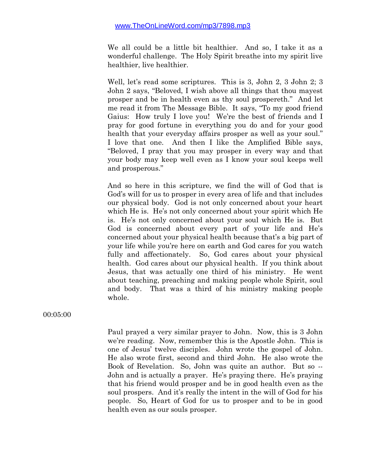We all could be a little bit healthier. And so, I take it as a wonderful challenge. The Holy Spirit breathe into my spirit live healthier, live healthier.

Well, let's read some scriptures. This is 3, John 2, 3 John 2; 3 John 2 says, "Beloved, I wish above all things that thou mayest prosper and be in health even as thy soul prospereth." And let me read it from The Message Bible. It says, "To my good friend Gaius: How truly I love you! We're the best of friends and I pray for good fortune in everything you do and for your good health that your everyday affairs prosper as well as your soul." I love that one. And then I like the Amplified Bible says, "Beloved, I pray that you may prosper in every way and that your body may keep well even as I know your soul keeps well and prosperous."

And so here in this scripture, we find the will of God that is God's will for us to prosper in every area of life and that includes our physical body. God is not only concerned about your heart which He is. He's not only concerned about your spirit which He is. He's not only concerned about your soul which He is. But God is concerned about every part of your life and He's concerned about your physical health because that's a big part of your life while you're here on earth and God cares for you watch fully and affectionately. So, God cares about your physical health. God cares about our physical health. If you think about Jesus, that was actually one third of his ministry. He went about teaching, preaching and making people whole Spirit, soul and body. That was a third of his ministry making people whole.

00:05:00

Paul prayed a very similar prayer to John. Now, this is 3 John we're reading. Now, remember this is the Apostle John. This is one of Jesus' twelve disciples. John wrote the gospel of John. He also wrote first, second and third John. He also wrote the Book of Revelation. So, John was quite an author. But so -- John and is actually a prayer. He's praying there. He's praying that his friend would prosper and be in good health even as the soul prospers. And it's really the intent in the will of God for his people. So, Heart of God for us to prosper and to be in good health even as our souls prosper.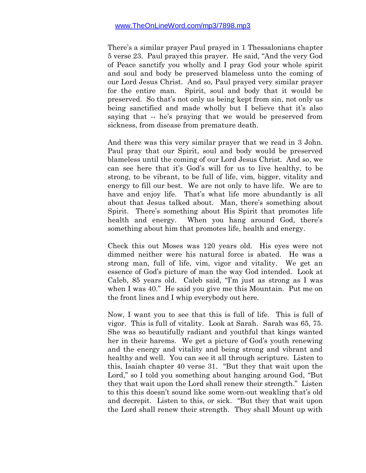There's a similar prayer Paul prayed in 1 Thessalonians chapter 5 verse 23. Paul prayed this prayer. He said, "And the very God of Peace sanctify you wholly and I pray God your whole spirit and soul and body be preserved blameless unto the coming of our Lord Jesus Christ. And so, Paul prayed very similar prayer for the entire man. Spirit, soul and body that it would be preserved. So that's not only us being kept from sin, not only us being sanctified and made wholly but I believe that it's also saying that -- he's praying that we would be preserved from sickness, from disease from premature death.

And there was this very similar prayer that we read in 3 John. Paul pray that our Spirit, soul and body would be preserved blameless until the coming of our Lord Jesus Christ. And so, we can see here that it's God's will for us to live healthy, to be strong, to be vibrant, to be full of life, vim, bigger, vitality and energy to fill our best. We are not only to have life. We are to have and enjoy life. That's what life more abundantly is all about that Jesus talked about. Man, there's something about Spirit. There's something about His Spirit that promotes life health and energy. When you hang around God, there's something about him that promotes life, health and energy.

Check this out Moses was 120 years old. His eyes were not dimmed neither were his natural force is abated. He was a strong man, full of life, vim, vigor and vitality. We get an essence of God's picture of man the way God intended. Look at Caleb, 85 years old. Caleb said, "I'm just as strong as I was when I was 40." He said you give me this Mountain. Put me on the front lines and I whip everybody out here.

Now, I want you to see that this is full of life. This is full of vigor. This is full of vitality. Look at Sarah. Sarah was 65, 75. She was so beautifully radiant and youthful that kings wanted her in their harems. We get a picture of God's youth renewing and the energy and vitality and being strong and vibrant and healthy and well. You can see it all through scripture. Listen to this, Isaiah chapter 40 verse 31. "But they that wait upon the Lord," so I told you something about hanging around God, "But" they that wait upon the Lord shall renew their strength." Listen to this this doesn't sound like some worn-out weakling that's old and decrepit. Listen to this, or sick. "But they that wait upon the Lord shall renew their strength. They shall Mount up with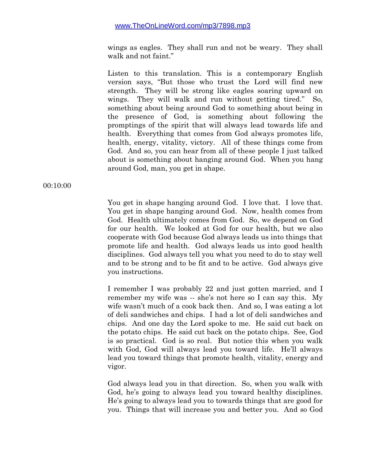wings as eagles. They shall run and not be weary. They shall walk and not faint."

Listen to this translation. This is a contemporary English version says, "But those who trust the Lord will find new strength. They will be strong like eagles soaring upward on wings. They will walk and run without getting tired." So, something about being around God to something about being in the presence of God, is something about following the promptings of the spirit that will always lead towards life and health. Everything that comes from God always promotes life, health, energy, vitality, victory. All of these things come from God. And so, you can hear from all of these people I just talked about is something about hanging around God. When you hang around God, man, you get in shape.

00:10:00

You get in shape hanging around God. I love that. I love that. You get in shape hanging around God. Now, health comes from God. Health ultimately comes from God. So, we depend on God for our health. We looked at God for our health, but we also cooperate with God because God always leads us into things that promote life and health. God always leads us into good health disciplines. God always tell you what you need to do to stay well and to be strong and to be fit and to be active. God always give you instructions.

I remember I was probably 22 and just gotten married, and I remember my wife was -- she's not here so I can say this. My wife wasn't much of a cook back then. And so, I was eating a lot of deli sandwiches and chips. I had a lot of deli sandwiches and chips. And one day the Lord spoke to me. He said cut back on the potato chips. He said cut back on the potato chips. See, God is so practical. God is so real. But notice this when you walk with God, God will always lead you toward life. He'll always lead you toward things that promote health, vitality, energy and vigor.

God always lead you in that direction. So, when you walk with God, he's going to always lead you toward healthy disciplines. He's going to always lead you to towards things that are good for you. Things that will increase you and better you. And so God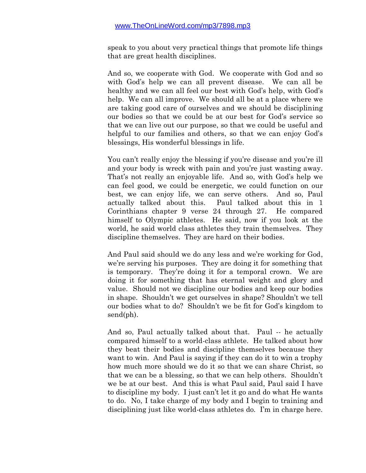speak to you about very practical things that promote life things that are great health disciplines.

And so, we cooperate with God. We cooperate with God and so with God's help we can all prevent disease. We can all be healthy and we can all feel our best with God's help, with God's help. We can all improve. We should all be at a place where we are taking good care of ourselves and we should be disciplining our bodies so that we could be at our best for God's service so that we can live out our purpose, so that we could be useful and helpful to our families and others, so that we can enjoy God's blessings, His wonderful blessings in life.

You can't really enjoy the blessing if you're disease and you're ill and your body is wreck with pain and you're just wasting away. That's not really an enjoyable life. And so, with God's help we can feel good, we could be energetic, we could function on our best, we can enjoy life, we can serve others. And so, Paul actually talked about this. Paul talked about this in 1 Corinthians chapter 9 verse 24 through 27. He compared himself to Olympic athletes. He said, now if you look at the world, he said world class athletes they train themselves. They discipline themselves. They are hard on their bodies.

And Paul said should we do any less and we're working for God, we're serving his purposes. They are doing it for something that is temporary. They're doing it for a temporal crown. We are doing it for something that has eternal weight and glory and value. Should not we discipline our bodies and keep our bodies in shape. Shouldn't we get ourselves in shape? Shouldn't we tell our bodies what to do? Shouldn't we be fit for God's kingdom to send(ph).

And so, Paul actually talked about that. Paul -- he actually compared himself to a world-class athlete. He talked about how they beat their bodies and discipline themselves because they want to win. And Paul is saying if they can do it to win a trophy how much more should we do it so that we can share Christ, so that we can be a blessing, so that we can help others. Shouldn't we be at our best. And this is what Paul said, Paul said I have to discipline my body. I just can't let it go and do what He wants to do. No, I take charge of my body and I begin to training and disciplining just like world-class athletes do. I'm in charge here.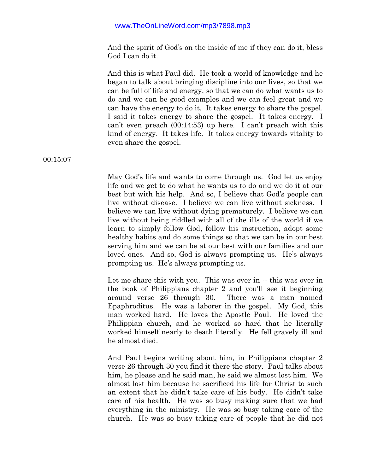And the spirit of God's on the inside of me if they can do it, bless God I can do it.

And this is what Paul did. He took a world of knowledge and he began to talk about bringing discipline into our lives, so that we can be full of life and energy, so that we can do what wants us to do and we can be good examples and we can feel great and we can have the energy to do it. It takes energy to share the gospel. I said it takes energy to share the gospel. It takes energy. I can't even preach (00:14:53) up here. I can't preach with this kind of energy. It takes life. It takes energy towards vitality to even share the gospel.

May God's life and wants to come through us. God let us enjoy life and we get to do what he wants us to do and we do it at our best but with his help. And so, I believe that God's people can live without disease. I believe we can live without sickness. I believe we can live without dying prematurely. I believe we can live without being riddled with all of the ills of the world if we learn to simply follow God, follow his instruction, adopt some healthy habits and do some things so that we can be in our best serving him and we can be at our best with our families and our loved ones. And so, God is always prompting us. He's always prompting us. He's always prompting us.

Let me share this with you. This was over in -- this was over in the book of Philippians chapter 2 and you'll see it beginning around verse 26 through 30. There was a man named Epaphroditus. He was a laborer in the gospel. My God, this man worked hard. He loves the Apostle Paul. He loved the Philippian church, and he worked so hard that he literally worked himself nearly to death literally. He fell gravely ill and he almost died.

And Paul begins writing about him, in Philippians chapter 2 verse 26 through 30 you find it there the story. Paul talks about him, he please and he said man, he said we almost lost him. We almost lost him because he sacrificed his life for Christ to such an extent that he didn't take care of his body. He didn't take care of his health. He was so busy making sure that we had everything in the ministry. He was so busy taking care of the church. He was so busy taking care of people that he did not

00:15:07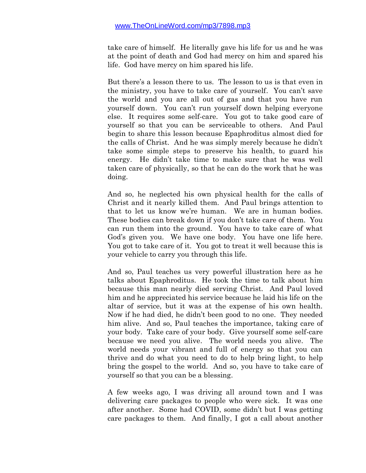take care of himself. He literally gave his life for us and he was at the point of death and God had mercy on him and spared his life. God have mercy on him spared his life.

But there's a lesson there to us. The lesson to us is that even in the ministry, you have to take care of yourself. You can't save the world and you are all out of gas and that you have run yourself down. You can't run yourself down helping everyone else. It requires some self-care. You got to take good care of yourself so that you can be serviceable to others. And Paul begin to share this lesson because Epaphroditus almost died for the calls of Christ. And he was simply merely because he didn't take some simple steps to preserve his health, to guard his energy. He didn't take time to make sure that he was well taken care of physically, so that he can do the work that he was doing.

And so, he neglected his own physical health for the calls of Christ and it nearly killed them. And Paul brings attention to that to let us know we're human. We are in human bodies. These bodies can break down if you don't take care of them. You can run them into the ground. You have to take care of what God's given you. We have one body. You have one life here. You got to take care of it. You got to treat it well because this is your vehicle to carry you through this life.

And so, Paul teaches us very powerful illustration here as he talks about Epaphroditus. He took the time to talk about him because this man nearly died serving Christ. And Paul loved him and he appreciated his service because he laid his life on the altar of service, but it was at the expense of his own health. Now if he had died, he didn't been good to no one. They needed him alive. And so, Paul teaches the importance, taking care of your body. Take care of your body. Give yourself some self-care because we need you alive. The world needs you alive. The world needs your vibrant and full of energy so that you can thrive and do what you need to do to help bring light, to help bring the gospel to the world. And so, you have to take care of yourself so that you can be a blessing.

A few weeks ago, I was driving all around town and I was delivering care packages to people who were sick. It was one after another. Some had COVID, some didn't but I was getting care packages to them. And finally, I got a call about another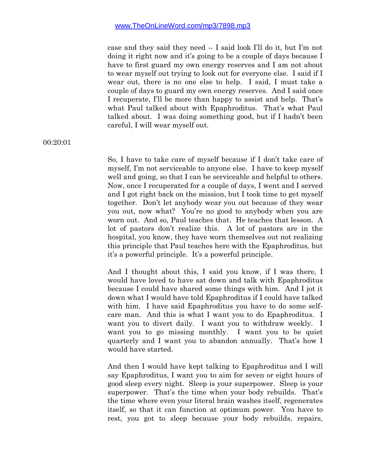case and they said they need -- I said look I'll do it, but I'm not doing it right now and it's going to be a couple of days because I have to first guard my own energy reserves and I am not about to wear myself out trying to look out for everyone else. I said if I wear out, there is no one else to help. I said, I must take a couple of days to guard my own energy reserves. And I said once I recuperate, I'll be more than happy to assist and help. That's what Paul talked about with Epaphroditus. That's what Paul talked about. I was doing something good, but if I hadn't been careful, I will wear myself out.

00:20:01

So, I have to take care of myself because if I don't take care of myself, I'm not serviceable to anyone else. I have to keep myself well and going, so that I can be serviceable and helpful to others. Now, once I recuperated for a couple of days, I went and I served and I got right back on the mission, but I took time to get myself together. Don't let anybody wear you out because of they wear you out, now what? You're no good to anybody when you are worn out. And so, Paul teaches that. He teaches that lesson. A lot of pastors don't realize this. A lot of pastors are in the hospital, you know, they have worn themselves out not realizing this principle that Paul teaches here with the Epaphroditus, but it's a powerful principle. It's a powerful principle.

And I thought about this, I said you know, if I was there, I would have loved to have sat down and talk with Epaphroditus because I could have shared some things with him. And I jot it down what I would have told Epaphroditus if I could have talked with him. I have said Epaphroditus you have to do some selfcare man. And this is what I want you to do Epaphroditus. I want you to divert daily. I want you to withdraw weekly. I want you to go missing monthly. I want you to be quiet quarterly and I want you to abandon annually. That's how I would have started.

And then I would have kept talking to Epaphroditus and I will say Epaphroditus, I want you to aim for seven or eight hours of good sleep every night. Sleep is your superpower. Sleep is your superpower. That's the time when your body rebuilds. That's the time where even your literal brain washes itself, regenerates itself, so that it can function at optimum power. You have to rest, you got to sleep because your body rebuilds, repairs,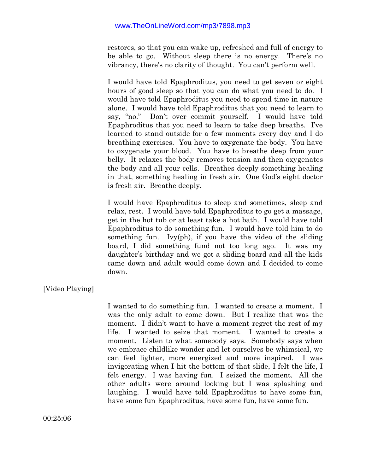restores, so that you can wake up, refreshed and full of energy to be able to go. Without sleep there is no energy. There's no vibrancy, there's no clarity of thought. You can't perform well.

I would have told Epaphroditus, you need to get seven or eight hours of good sleep so that you can do what you need to do. I would have told Epaphroditus you need to spend time in nature alone. I would have told Epaphroditus that you need to learn to say, "no." Don't over commit yourself. I would have told Epaphroditus that you need to learn to take deep breaths. I've learned to stand outside for a few moments every day and I do breathing exercises. You have to oxygenate the body. You have to oxygenate your blood. You have to breathe deep from your belly. It relaxes the body removes tension and then oxygenates the body and all your cells. Breathes deeply something healing in that, something healing in fresh air. One God's eight doctor is fresh air. Breathe deeply.

I would have Epaphroditus to sleep and sometimes, sleep and relax, rest. I would have told Epaphroditus to go get a massage, get in the hot tub or at least take a hot bath. I would have told Epaphroditus to do something fun. I would have told him to do something fun. Ivy(ph), if you have the video of the sliding board, I did something fund not too long ago. It was my daughter's birthday and we got a sliding board and all the kids came down and adult would come down and I decided to come down.

# [Video Playing]

I wanted to do something fun. I wanted to create a moment. I was the only adult to come down. But I realize that was the moment. I didn't want to have a moment regret the rest of my life. I wanted to seize that moment. I wanted to create a moment. Listen to what somebody says. Somebody says when we embrace childlike wonder and let ourselves be whimsical, we can feel lighter, more energized and more inspired. I was invigorating when I hit the bottom of that slide, I felt the life, I felt energy. I was having fun. I seized the moment. All the other adults were around looking but I was splashing and laughing. I would have told Epaphroditus to have some fun, have some fun Epaphroditus, have some fun, have some fun.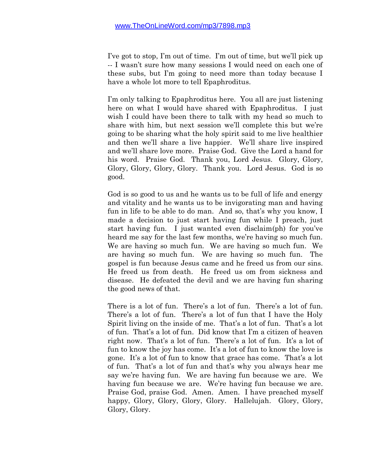I've got to stop, I'm out of time. I'm out of time, but we'll pick up -- I wasn't sure how many sessions I would need on each one of these subs, but I'm going to need more than today because I have a whole lot more to tell Epaphroditus.

I'm only talking to Epaphroditus here. You all are just listening here on what I would have shared with Epaphroditus. I just wish I could have been there to talk with my head so much to share with him, but next session we'll complete this but we're going to be sharing what the holy spirit said to me live healthier and then we'll share a live happier. We'll share live inspired and we'll share love more. Praise God. Give the Lord a hand for his word. Praise God. Thank you, Lord Jesus. Glory, Glory, Glory, Glory, Glory, Glory. Thank you. Lord Jesus. God is so good.

God is so good to us and he wants us to be full of life and energy and vitality and he wants us to be invigorating man and having fun in life to be able to do man. And so, that's why you know, I made a decision to just start having fun while I preach, just start having fun. I just wanted even disclaim(ph) for you've heard me say for the last few months, we're having so much fun. We are having so much fun. We are having so much fun. We are having so much fun. We are having so much fun. The gospel is fun because Jesus came and he freed us from our sins. He freed us from death. He freed us om from sickness and disease. He defeated the devil and we are having fun sharing the good news of that.

There is a lot of fun. There's a lot of fun. There's a lot of fun. There's a lot of fun. There's a lot of fun that I have the Holy Spirit living on the inside of me. That's a lot of fun. That's a lot of fun. That's a lot of fun. Did know that I'm a citizen of heaven right now. That's a lot of fun. There's a lot of fun. It's a lot of fun to know the joy has come. It's a lot of fun to know the love is gone. It's a lot of fun to know that grace has come. That's a lot of fun. That's a lot of fun and that's why you always hear me say we're having fun. We are having fun because we are. We having fun because we are. We're having fun because we are. Praise God, praise God. Amen. Amen. I have preached myself happy, Glory, Glory, Glory, Glory. Hallelujah. Glory, Glory, Glory, Glory.